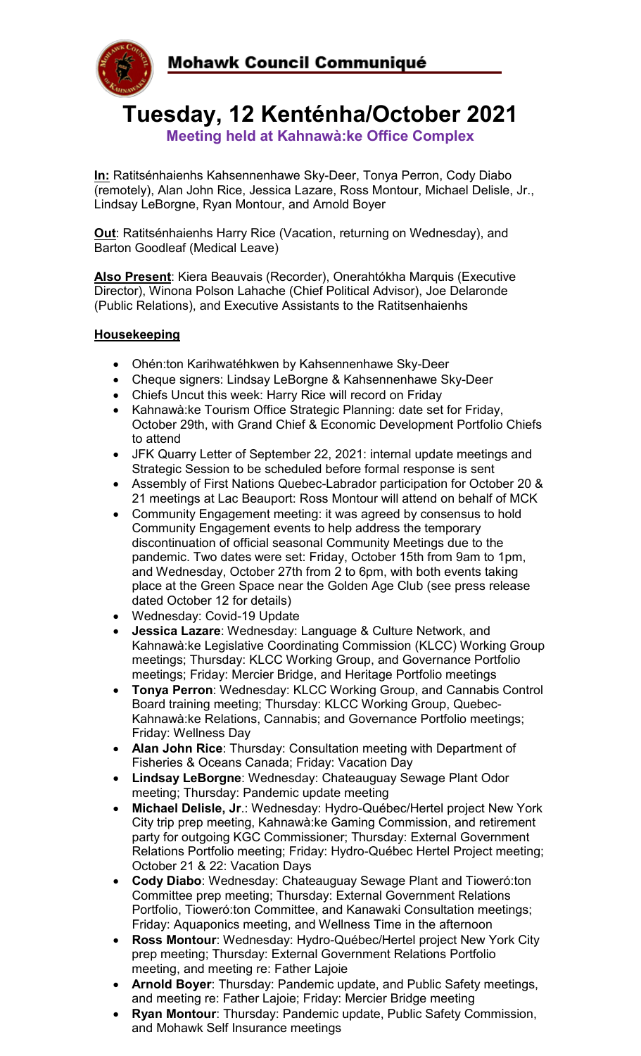

**Tuesday, 12 Kenténha/October 2021**

**Meeting held at Kahnawà:ke Office Complex**

**In:** Ratitsénhaienhs Kahsennenhawe Sky-Deer, Tonya Perron, Cody Diabo (remotely), Alan John Rice, Jessica Lazare, Ross Montour, Michael Delisle, Jr., Lindsay LeBorgne, Ryan Montour, and Arnold Boyer

**Out**: Ratitsénhaienhs Harry Rice (Vacation, returning on Wednesday), and Barton Goodleaf (Medical Leave)

**Also Present**: Kiera Beauvais (Recorder), Onerahtókha Marquis (Executive Director), Winona Polson Lahache (Chief Political Advisor), Joe Delaronde (Public Relations), and Executive Assistants to the Ratitsenhaienhs

# **Housekeeping**

- Ohén:ton Karihwatéhkwen by Kahsennenhawe Sky-Deer
- Cheque signers: Lindsay LeBorgne & Kahsennenhawe Sky-Deer
- Chiefs Uncut this week: Harry Rice will record on Friday
- Kahnawà:ke Tourism Office Strategic Planning: date set for Friday, October 29th, with Grand Chief & Economic Development Portfolio Chiefs to attend
- JFK Quarry Letter of September 22, 2021: internal update meetings and Strategic Session to be scheduled before formal response is sent
- Assembly of First Nations Quebec-Labrador participation for October 20 & 21 meetings at Lac Beauport: Ross Montour will attend on behalf of MCK
- Community Engagement meeting: it was agreed by consensus to hold Community Engagement events to help address the temporary discontinuation of official seasonal Community Meetings due to the pandemic. Two dates were set: Friday, October 15th from 9am to 1pm, and Wednesday, October 27th from 2 to 6pm, with both events taking place at the Green Space near the Golden Age Club (see press release dated October 12 for details)
- Wednesday: Covid-19 Update
- **Jessica Lazare**: Wednesday: Language & Culture Network, and Kahnawà:ke Legislative Coordinating Commission (KLCC) Working Group meetings; Thursday: KLCC Working Group, and Governance Portfolio meetings; Friday: Mercier Bridge, and Heritage Portfolio meetings
- **Tonya Perron**: Wednesday: KLCC Working Group, and Cannabis Control Board training meeting; Thursday: KLCC Working Group, Quebec-Kahnawà:ke Relations, Cannabis; and Governance Portfolio meetings; Friday: Wellness Day
- **Alan John Rice**: Thursday: Consultation meeting with Department of Fisheries & Oceans Canada; Friday: Vacation Day
- **Lindsay LeBorgne**: Wednesday: Chateauguay Sewage Plant Odor meeting; Thursday: Pandemic update meeting
- **Michael Delisle, Jr**.: Wednesday: Hydro-Québec/Hertel project New York City trip prep meeting, Kahnawà:ke Gaming Commission, and retirement party for outgoing KGC Commissioner; Thursday: External Government Relations Portfolio meeting; Friday: Hydro-Québec Hertel Project meeting; October 21 & 22: Vacation Days
- **Cody Diabo**: Wednesday: Chateauguay Sewage Plant and Tioweró:ton Committee prep meeting; Thursday: External Government Relations Portfolio, Tioweró:ton Committee, and Kanawaki Consultation meetings; Friday: Aquaponics meeting, and Wellness Time in the afternoon
- **Ross Montour**: Wednesday: Hydro-Québec/Hertel project New York City prep meeting; Thursday: External Government Relations Portfolio meeting, and meeting re: Father Lajoie
- **Arnold Boyer**: Thursday: Pandemic update, and Public Safety meetings, and meeting re: Father Lajoie; Friday: Mercier Bridge meeting
- **Ryan Montour**: Thursday: Pandemic update, Public Safety Commission, and Mohawk Self Insurance meetings